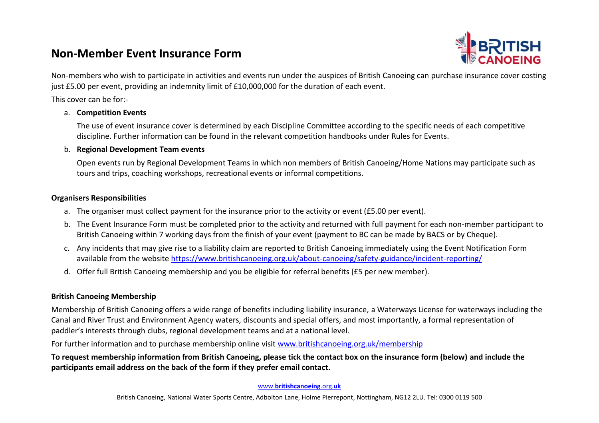# **Non-Member Event Insurance Form**



Non-members who wish to participate in activities and events run under the auspices of British Canoeing can purchase insurance cover costing just £5.00 per event, providing an indemnity limit of £10,000,000 for the duration of each event.

This cover can be for:-

### a. **Competition Events**

The use of event insurance cover is determined by each Discipline Committee according to the specific needs of each competitive discipline. Further information can be found in the relevant competition handbooks under Rules for Events.

#### b. **Regional Development Team events**

Open events run by Regional Development Teams in which non members of British Canoeing/Home Nations may participate such as tours and trips, coaching workshops, recreational events or informal competitions.

#### **Organisers Responsibilities**

- a. The organiser must collect payment for the insurance prior to the activity or event (£5.00 per event).
- b. The Event Insurance Form must be completed prior to the activity and returned with full payment for each non-member participant to British Canoeing within 7 working days from the finish of your event (payment to BC can be made by BACS or by Cheque).
- c. Any incidents that may give rise to a liability claim are reported to British Canoeing immediately using the Event Notification Form available from the website<https://www.britishcanoeing.org.uk/about-canoeing/safety-guidance/incident-reporting/>
- d. Offer full British Canoeing membership and you be eligible for referral benefits (£5 per new member).

### **British Canoeing Membership**

Membership of British Canoeing offers a wide range of benefits including liability insurance, a Waterways License for waterways including the Canal and River Trust and Environment Agency waters, discounts and special offers, and most importantly, a formal representation of paddler's interests through clubs, regional development teams and at a national level.

For further information and to purchase membership online visit [www.britishcanoeing.org.uk/membership](https://www.britishcanoeing.org.uk/membership/)

**To request membership information from British Canoeing, please tick the contact box on the insurance form (below) and include the participants email address on the back of the form if they prefer email contact.**

www.**britishcanoeing**.org.**uk**